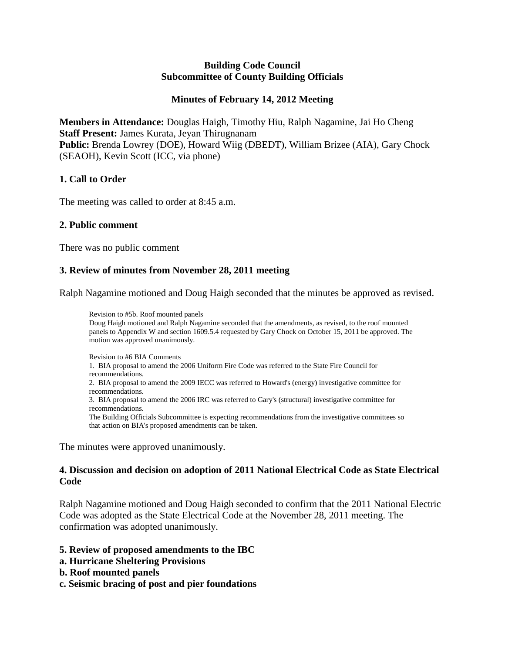#### **Building Code Council Subcommittee of County Building Officials**

## **Minutes of February 14, 2012 Meeting**

**Members in Attendance:** Douglas Haigh, Timothy Hiu, Ralph Nagamine, Jai Ho Cheng **Staff Present:** James Kurata, Jeyan Thirugnanam **Public:** Brenda Lowrey (DOE), Howard Wiig (DBEDT), William Brizee (AIA), Gary Chock (SEAOH), Kevin Scott (ICC, via phone)

#### **1. Call to Order**

The meeting was called to order at 8:45 a.m.

#### **2. Public comment**

There was no public comment

#### **3. Review of minutes from November 28, 2011 meeting**

Ralph Nagamine motioned and Doug Haigh seconded that the minutes be approved as revised.

Revision to #5b. Roof mounted panels Doug Haigh motioned and Ralph Nagamine seconded that the amendments, as revised, to the roof mounted panels to Appendix W and section 1609.5.4 requested by Gary Chock on October 15, 2011 be approved. The motion was approved unanimously.

Revision to #6 BIA Comments 1. BIA proposal to amend the 2006 Uniform Fire Code was referred to the State Fire Council for recommendations. 2. BIA proposal to amend the 2009 IECC was referred to Howard's (energy) investigative committee for recommendations. 3. BIA proposal to amend the 2006 IRC was referred to Gary's (structural) investigative committee for recommendations. The Building Officials Subcommittee is expecting recommendations from the investigative committees so that action on BIA's proposed amendments can be taken.

The minutes were approved unanimously.

#### **4. Discussion and decision on adoption of 2011 National Electrical Code as State Electrical Code**

Ralph Nagamine motioned and Doug Haigh seconded to confirm that the 2011 National Electric Code was adopted as the State Electrical Code at the November 28, 2011 meeting. The confirmation was adopted unanimously.

#### **5. Review of proposed amendments to the IBC**

- **a. Hurricane Sheltering Provisions**
- **b. Roof mounted panels**
- **c. Seismic bracing of post and pier foundations**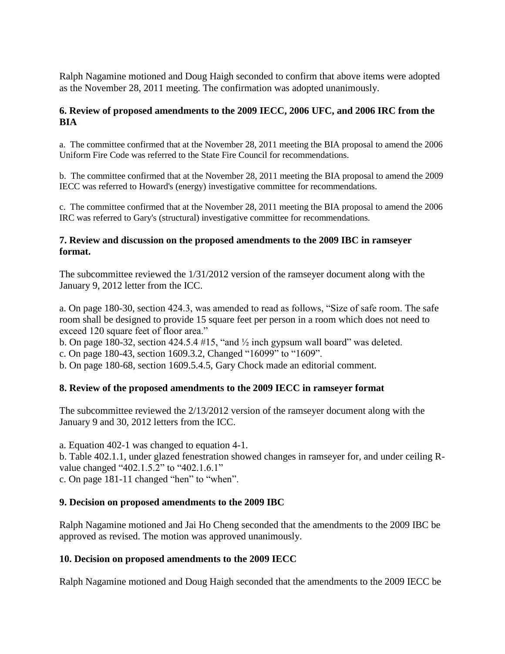Ralph Nagamine motioned and Doug Haigh seconded to confirm that above items were adopted as the November 28, 2011 meeting. The confirmation was adopted unanimously.

# **6. Review of proposed amendments to the 2009 IECC, 2006 UFC, and 2006 IRC from the BIA**

a. The committee confirmed that at the November 28, 2011 meeting the BIA proposal to amend the 2006 Uniform Fire Code was referred to the State Fire Council for recommendations.

b. The committee confirmed that at the November 28, 2011 meeting the BIA proposal to amend the 2009 IECC was referred to Howard's (energy) investigative committee for recommendations.

c. The committee confirmed that at the November 28, 2011 meeting the BIA proposal to amend the 2006 IRC was referred to Gary's (structural) investigative committee for recommendations.

## **7. Review and discussion on the proposed amendments to the 2009 IBC in ramseyer format.**

The subcommittee reviewed the 1/31/2012 version of the ramseyer document along with the January 9, 2012 letter from the ICC.

a. On page 180-30, section 424.3, was amended to read as follows, "Size of safe room. The safe room shall be designed to provide 15 square feet per person in a room which does not need to exceed 120 square feet of floor area."

b. On page 180-32, section 424.5.4 #15, "and  $\frac{1}{2}$  inch gypsum wall board" was deleted.

c. On page 180-43, section 1609.3.2, Changed "16099" to "1609".

b. On page 180-68, section 1609.5.4.5, Gary Chock made an editorial comment.

# **8. Review of the proposed amendments to the 2009 IECC in ramseyer format**

The subcommittee reviewed the 2/13/2012 version of the ramseyer document along with the January 9 and 30, 2012 letters from the ICC.

a. Equation 402-1 was changed to equation 4-1.

b. Table 402.1.1, under glazed fenestration showed changes in ramseyer for, and under ceiling Rvalue changed "402.1.5.2" to "402.1.6.1"

c. On page 181-11 changed "hen" to "when".

# **9. Decision on proposed amendments to the 2009 IBC**

Ralph Nagamine motioned and Jai Ho Cheng seconded that the amendments to the 2009 IBC be approved as revised. The motion was approved unanimously.

# **10. Decision on proposed amendments to the 2009 IECC**

Ralph Nagamine motioned and Doug Haigh seconded that the amendments to the 2009 IECC be